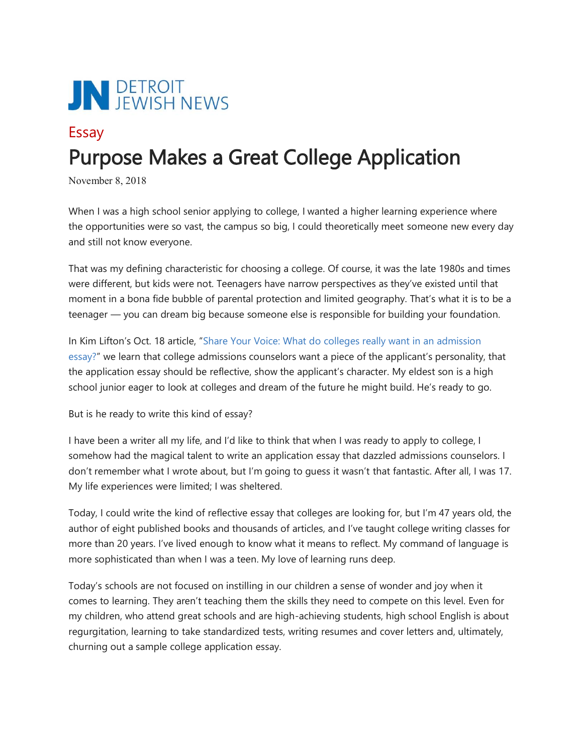

## Essay Purpose Makes a Great College Application

November 8, 2018

When I was a high school senior applying to college, I wanted a higher learning experience where the opportunities were so vast, the campus so big, I could theoretically meet someone new every day and still not know everyone.

That was my defining characteristic for choosing a college. Of course, it was the late 1980s and times were different, but kids were not. Teenagers have narrow perspectives as they've existed until that moment in a bona fide bubble of parental protection and limited geography. That's what it is to be a teenager — you can dream big because someone else is responsible for building your foundation.

In Kim Lifton's Oct. 18 article, "[Share Your Voice: What do colleges really want in an admission](https://thejewishnews.com/2018/09/27/what-do-colleges-really-want-in-an-admission-essay-college-essays/)  [essay?](https://thejewishnews.com/2018/09/27/what-do-colleges-really-want-in-an-admission-essay-college-essays/)" we learn that college admissions counselors want a piece of the applicant's personality, that the application essay should be reflective, show the applicant's character. My eldest son is a high school junior eager to look at colleges and dream of the future he might build. He's ready to go.

But is he ready to write this kind of essay?

I have been a writer all my life, and I'd like to think that when I was ready to apply to college, I somehow had the magical talent to write an application essay that dazzled admissions counselors. I don't remember what I wrote about, but I'm going to guess it wasn't that fantastic. After all, I was 17. My life experiences were limited; I was sheltered.

Today, I could write the kind of reflective essay that colleges are looking for, but I'm 47 years old, the author of eight published books and thousands of articles, and I've taught college writing classes for more than 20 years. I've lived enough to know what it means to reflect. My command of language is more sophisticated than when I was a teen. My love of learning runs deep.

Today's schools are not focused on instilling in our children a sense of wonder and joy when it comes to learning. They aren't teaching them the skills they need to compete on this level. Even for my children, who attend great schools and are high-achieving students, high school English is about regurgitation, learning to take standardized tests, writing resumes and cover letters and, ultimately, churning out a sample college application essay.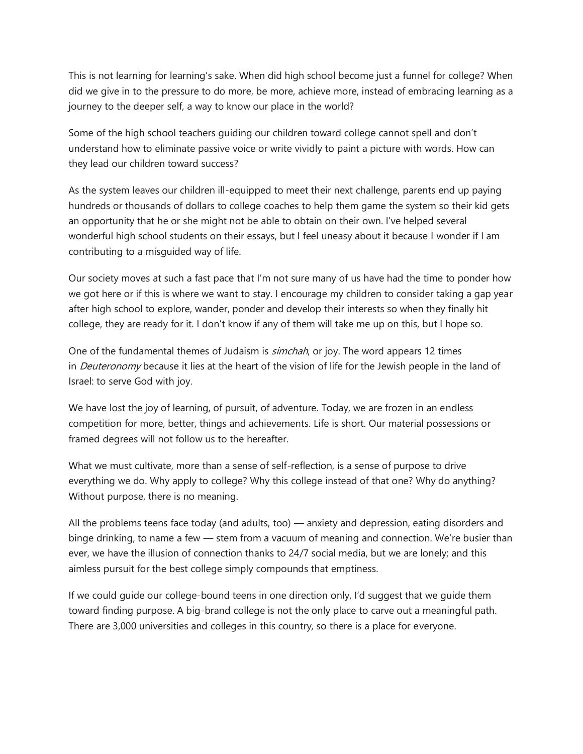This is not learning for learning's sake. When did high school become just a funnel for college? When did we give in to the pressure to do more, be more, achieve more, instead of embracing learning as a journey to the deeper self, a way to know our place in the world?

Some of the high school teachers guiding our children toward college cannot spell and don't understand how to eliminate passive voice or write vividly to paint a picture with words. How can they lead our children toward success?

As the system leaves our children ill-equipped to meet their next challenge, parents end up paying hundreds or thousands of dollars to college coaches to help them game the system so their kid gets an opportunity that he or she might not be able to obtain on their own. I've helped several wonderful high school students on their essays, but I feel uneasy about it because I wonder if I am contributing to a misguided way of life.

Our society moves at such a fast pace that I'm not sure many of us have had the time to ponder how we got here or if this is where we want to stay. I encourage my children to consider taking a gap year after high school to explore, wander, ponder and develop their interests so when they finally hit college, they are ready for it. I don't know if any of them will take me up on this, but I hope so.

One of the fundamental themes of Judaism is *simchah*, or joy. The word appears 12 times in *Deuteronomy* because it lies at the heart of the vision of life for the Jewish people in the land of Israel: to serve God with joy.

We have lost the joy of learning, of pursuit, of adventure. Today, we are frozen in an endless competition for more, better, things and achievements. Life is short. Our material possessions or framed degrees will not follow us to the hereafter.

What we must cultivate, more than a sense of self-reflection, is a sense of purpose to drive everything we do. Why apply to college? Why this college instead of that one? Why do anything? Without purpose, there is no meaning.

All the problems teens face today (and adults, too) — anxiety and depression, eating disorders and binge drinking, to name a few — stem from a vacuum of meaning and connection. We're busier than ever, we have the illusion of connection thanks to 24/7 social media, but we are lonely; and this aimless pursuit for the best college simply compounds that emptiness.

If we could guide our college-bound teens in one direction only, I'd suggest that we guide them toward finding purpose. A big-brand college is not the only place to carve out a meaningful path. There are 3,000 universities and colleges in this country, so there is a place for everyone.